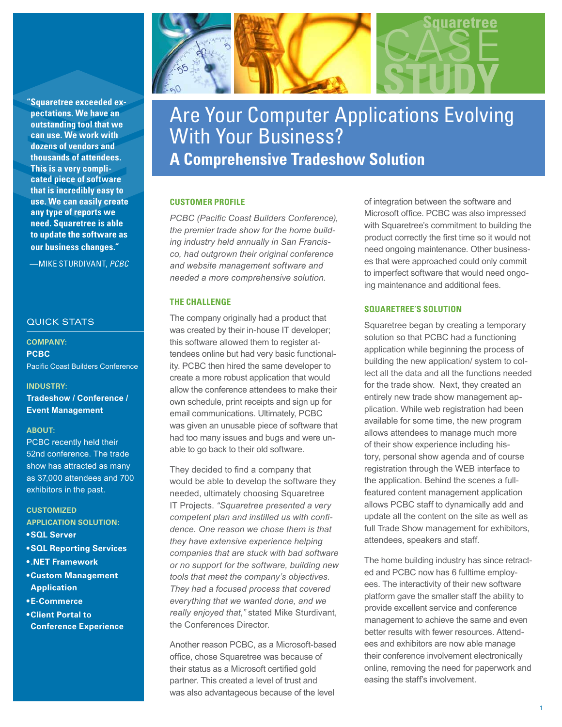**"Squaretree exceeded expectations. We have an outstanding tool that we can use. We work with dozens of vendors and thousands of attendees. This is a very complicated piece of software that is incredibly easy to use. We can easily create any type of reports we need. Squaretree is able to update the software as our business changes."** 

—MIKE STURDIVANT, *PCBC*

## QUICK STATS

**COMPANY: PCBC**  Pacific Coast Builders Conference

#### **INDUSTRY:**

**Tradeshow / Conference / Event Management**

#### **ABOUT:**

PCBC recently held their 52nd conference. The trade show has attracted as many as 37,000 attendees and 700 exhibitors in the past.

**CUSTOMIZED APPLICATION SOLUTION:**

- **• SQL Server**
- **• SQL Reporting Services**
- **• .NET Framework**
- **• Custom Management Application**
- **• E-Commerce**
- **• Client Portal to Conference Experience**



# Are Your Computer Applications Evolving With Your Business? **A Comprehensive Tradeshow Solution**

## **Customer Profile**

*PCBC (Pacific Coast Builders Conference), the premier trade show for the home building industry held annually in San Francisco, had outgrown their original conference and website management software and needed a more comprehensive solution.*

## **The Challenge**

The company originally had a product that was created by their in-house IT developer; this software allowed them to register attendees online but had very basic functionality. PCBC then hired the same developer to create a more robust application that would allow the conference attendees to make their own schedule, print receipts and sign up for email communications. Ultimately, PCBC was given an unusable piece of software that had too many issues and bugs and were unable to go back to their old software.

They decided to find a company that would be able to develop the software they needed, ultimately choosing Squaretree IT Projects. *"Squaretree presented a very competent plan and instilled us with confidence. One reason we chose them is that they have extensive experience helping companies that are stuck with bad software or no support for the software, building new tools that meet the company's objectives. They had a focused process that covered everything that we wanted done, and we really enjoyed that,"* stated Mike Sturdivant, the Conferences Director.

Another reason PCBC, as a Microsoft-based office, chose Squaretree was because of their status as a Microsoft certified gold partner. This created a level of trust and was also advantageous because of the level

of integration between the software and Microsoft office. PCBC was also impressed with Squaretree's commitment to building the product correctly the first time so it would not need ongoing maintenance. Other businesses that were approached could only commit to imperfect software that would need ongoing maintenance and additional fees.

## **Squaretree's Solution**

Squaretree began by creating a temporary solution so that PCBC had a functioning application while beginning the process of building the new application/ system to collect all the data and all the functions needed for the trade show. Next, they created an entirely new trade show management application. While web registration had been available for some time, the new program allows attendees to manage much more of their show experience including history, personal show agenda and of course registration through the WEB interface to the application. Behind the scenes a fullfeatured content management application allows PCBC staff to dynamically add and update all the content on the site as well as full Trade Show management for exhibitors, attendees, speakers and staff.

The home building industry has since retracted and PCBC now has 6 fulltime employees. The interactivity of their new software platform gave the smaller staff the ability to provide excellent service and conference management to achieve the same and even better results with fewer resources. Attendees and exhibitors are now able manage their conference involvement electronically online, removing the need for paperwork and easing the staff's involvement.